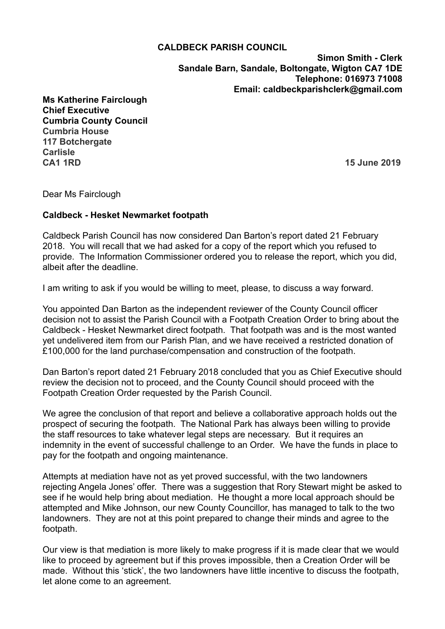## **CALDBECK PARISH COUNCIL**

**Simon Smith - Clerk Sandale Barn, Sandale, Boltongate, Wigton CA7 1DE Telephone: 016973 71008 Email: caldbeckparishclerk@gmail.com**

**Ms Katherine Fairclough Chief Executive Cumbria County Council Cumbria House 117 Botchergate Carlisle CA1 1RD 15 June 2019**

Dear Ms Fairclough

## **Caldbeck - Hesket Newmarket footpath**

Caldbeck Parish Council has now considered Dan Barton's report dated 21 February 2018. You will recall that we had asked for a copy of the report which you refused to provide. The Information Commissioner ordered you to release the report, which you did, albeit after the deadline.

I am writing to ask if you would be willing to meet, please, to discuss a way forward.

You appointed Dan Barton as the independent reviewer of the County Council officer decision not to assist the Parish Council with a Footpath Creation Order to bring about the Caldbeck - Hesket Newmarket direct footpath. That footpath was and is the most wanted yet undelivered item from our Parish Plan, and we have received a restricted donation of £100,000 for the land purchase/compensation and construction of the footpath.

Dan Barton's report dated 21 February 2018 concluded that you as Chief Executive should review the decision not to proceed, and the County Council should proceed with the Footpath Creation Order requested by the Parish Council.

We agree the conclusion of that report and believe a collaborative approach holds out the prospect of securing the footpath. The National Park has always been willing to provide the staff resources to take whatever legal steps are necessary. But it requires an indemnity in the event of successful challenge to an Order. We have the funds in place to pay for the footpath and ongoing maintenance.

Attempts at mediation have not as yet proved successful, with the two landowners rejecting Angela Jones' offer. There was a suggestion that Rory Stewart might be asked to see if he would help bring about mediation. He thought a more local approach should be attempted and Mike Johnson, our new County Councillor, has managed to talk to the two landowners. They are not at this point prepared to change their minds and agree to the footpath.

Our view is that mediation is more likely to make progress if it is made clear that we would like to proceed by agreement but if this proves impossible, then a Creation Order will be made. Without this 'stick', the two landowners have little incentive to discuss the footpath, let alone come to an agreement.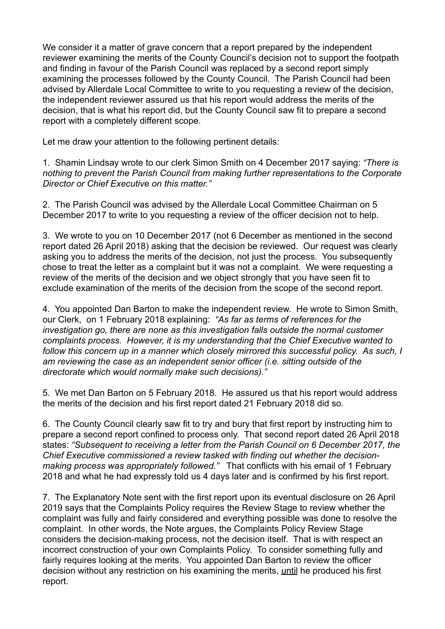We consider it a matter of grave concern that a report prepared by the independent reviewer examining the merits of the County Council's decision not to support the footpath and finding in favour of the Parish Council was replaced by a second report simply examining the processes followed by the County Council. The Parish Council had been advised by Allerdale Local Committee to write to you requesting a review of the decision, the independent reviewer assured us that his report would address the merits of the decision, that is what his report did, but the County Council saw fit to prepare a second report with a completely different scope.

Let me draw your attention to the following pertinent details:

1. Shamin Lindsay wrote to our clerk Simon Smith on 4 December 2017 saying: *"There is nothing to prevent the Parish Council from making further representations to the Corporate Director or Chief Executive on this matter."*

2. The Parish Council was advised by the Allerdale Local Committee Chairman on 5 December 2017 to write to you requesting a review of the officer decision not to help.

3. We wrote to you on 10 December 2017 (not 6 December as mentioned in the second report dated 26 April 2018) asking that the decision be reviewed. Our request was clearly asking you to address the merits of the decision, not just the process. You subsequently chose to treat the letter as a complaint but it was not a complaint. We were requesting a review of the merits of the decision and we object strongly that you have seen fit to exclude examination of the merits of the decision from the scope of the second report.

4. You appointed Dan Barton to make the independent review. He wrote to Simon Smith, our Clerk, on 1 February 2018 explaining: *"As far as terms of references for the investigation go, there are none as this investigation falls outside the normal customer complaints process. However, it is my understanding that the Chief Executive wanted to*  follow this concern up in a manner which closely mirrored this successful policy. As such, I *am reviewing the case as an independent senior officer (i.e. sitting outside of the directorate which would normally make such decisions)."* 

5. We met Dan Barton on 5 February 2018. He assured us that his report would address the merits of the decision and his first report dated 21 February 2018 did so.

6. The County Council clearly saw fit to try and bury that first report by instructing him to prepare a second report confined to process only. That second report dated 26 April 2018 states: *"Subsequent to receiving a letter from the Parish Council on 6 December 2017, the Chief Executive commissioned a review tasked with finding out whether the decisionmaking process was appropriately followed."* That conflicts with his email of 1 February 2018 and what he had expressly told us 4 days later and is confirmed by his first report.

7. The Explanatory Note sent with the first report upon its eventual disclosure on 26 April 2019 says that the Complaints Policy requires the Review Stage to review whether the complaint was fully and fairly considered and everything possible was done to resolve the complaint. In other words, the Note argues, the Complaints Policy Review Stage considers the decision-making process, not the decision itself. That is with respect an incorrect construction of your own Complaints Policy. To consider something fully and fairly requires looking at the merits. You appointed Dan Barton to review the officer decision without any restriction on his examining the merits, until he produced his first report.